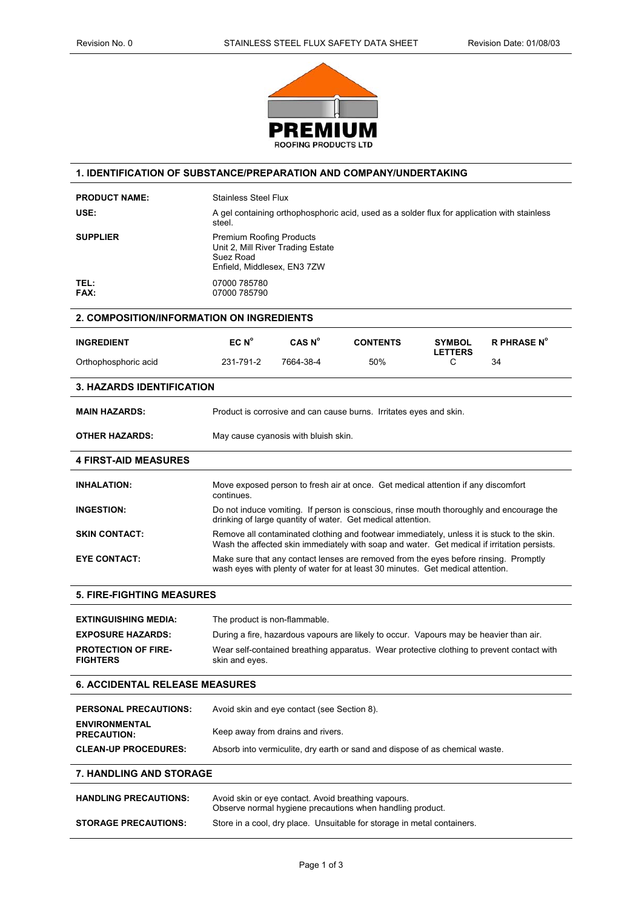

## **1. IDENTIFICATION OF SUBSTANCE/PREPARATION AND COMPANY/UNDERTAKING**

| <b>PRODUCT NAME:</b>                          | <b>Stainless Steel Flux</b>                                                                                                                                                               |                                      |                                                                    |                     |                    |
|-----------------------------------------------|-------------------------------------------------------------------------------------------------------------------------------------------------------------------------------------------|--------------------------------------|--------------------------------------------------------------------|---------------------|--------------------|
| USE:                                          | A gel containing orthophosphoric acid, used as a solder flux for application with stainless<br>steel.                                                                                     |                                      |                                                                    |                     |                    |
| <b>SUPPLIER</b>                               | <b>Premium Roofing Products</b><br>Unit 2, Mill River Trading Estate<br>Suez Road<br>Enfield, Middlesex, EN3 7ZW                                                                          |                                      |                                                                    |                     |                    |
| TEL:<br><b>FAX:</b>                           | 07000 785780<br>07000 785790                                                                                                                                                              |                                      |                                                                    |                     |                    |
| 2. COMPOSITION/INFORMATION ON INGREDIENTS     |                                                                                                                                                                                           |                                      |                                                                    |                     |                    |
| <b>INGREDIENT</b>                             | EC N <sup>o</sup>                                                                                                                                                                         | CAS N <sup>o</sup>                   | <b>CONTENTS</b>                                                    | <b>SYMBOL</b>       | <b>R PHRASE N°</b> |
| Orthophosphoric acid                          | 231-791-2                                                                                                                                                                                 | 7664-38-4                            | 50%                                                                | <b>LETTERS</b><br>C | 34                 |
| <b>3. HAZARDS IDENTIFICATION</b>              |                                                                                                                                                                                           |                                      |                                                                    |                     |                    |
| <b>MAIN HAZARDS:</b>                          |                                                                                                                                                                                           |                                      | Product is corrosive and can cause burns. Irritates eyes and skin. |                     |                    |
| <b>OTHER HAZARDS:</b>                         |                                                                                                                                                                                           | May cause cyanosis with bluish skin. |                                                                    |                     |                    |
| <b>4 FIRST-AID MEASURES</b>                   |                                                                                                                                                                                           |                                      |                                                                    |                     |                    |
| <b>INHALATION:</b>                            | Move exposed person to fresh air at once. Get medical attention if any discomfort<br>continues.                                                                                           |                                      |                                                                    |                     |                    |
| <b>INGESTION:</b>                             | Do not induce vomiting. If person is conscious, rinse mouth thoroughly and encourage the<br>drinking of large quantity of water. Get medical attention.                                   |                                      |                                                                    |                     |                    |
| <b>SKIN CONTACT:</b>                          | Remove all contaminated clothing and footwear immediately, unless it is stuck to the skin.<br>Wash the affected skin immediately with soap and water. Get medical if irritation persists. |                                      |                                                                    |                     |                    |
| <b>EYE CONTACT:</b>                           | Make sure that any contact lenses are removed from the eyes before rinsing. Promptly<br>wash eyes with plenty of water for at least 30 minutes. Get medical attention.                    |                                      |                                                                    |                     |                    |
| <b>5. FIRE-FIGHTING MEASURES</b>              |                                                                                                                                                                                           |                                      |                                                                    |                     |                    |
| <b>EXTINGUISHING MEDIA:</b>                   | The product is non-flammable.                                                                                                                                                             |                                      |                                                                    |                     |                    |
| <b>EXPOSURE HAZARDS:</b>                      | During a fire, hazardous vapours are likely to occur. Vapours may be heavier than air.                                                                                                    |                                      |                                                                    |                     |                    |
| <b>PROTECTION OF FIRE-</b><br><b>FIGHTERS</b> | Wear self-contained breathing apparatus. Wear protective clothing to prevent contact with<br>skin and eyes.                                                                               |                                      |                                                                    |                     |                    |
| <b>6. ACCIDENTAL RELEASE MEASURES</b>         |                                                                                                                                                                                           |                                      |                                                                    |                     |                    |
| <b>PERSONAL PRECAUTIONS:</b>                  | Avoid skin and eye contact (see Section 8).                                                                                                                                               |                                      |                                                                    |                     |                    |
| <b>ENVIRONMENTAL</b><br><b>PRECAUTION:</b>    | Keep away from drains and rivers.                                                                                                                                                         |                                      |                                                                    |                     |                    |
| <b>CLEAN-UP PROCEDURES:</b>                   | Absorb into vermiculite, dry earth or sand and dispose of as chemical waste.                                                                                                              |                                      |                                                                    |                     |                    |
| <b>7. HANDLING AND STORAGE</b>                |                                                                                                                                                                                           |                                      |                                                                    |                     |                    |
| <b>HANDLING PRECAUTIONS:</b>                  | Avoid skin or eye contact. Avoid breathing vapours.<br>Observe normal hygiene precautions when handling product.                                                                          |                                      |                                                                    |                     |                    |
| <b>STORAGE PRECAUTIONS:</b>                   | Store in a cool, dry place. Unsuitable for storage in metal containers.                                                                                                                   |                                      |                                                                    |                     |                    |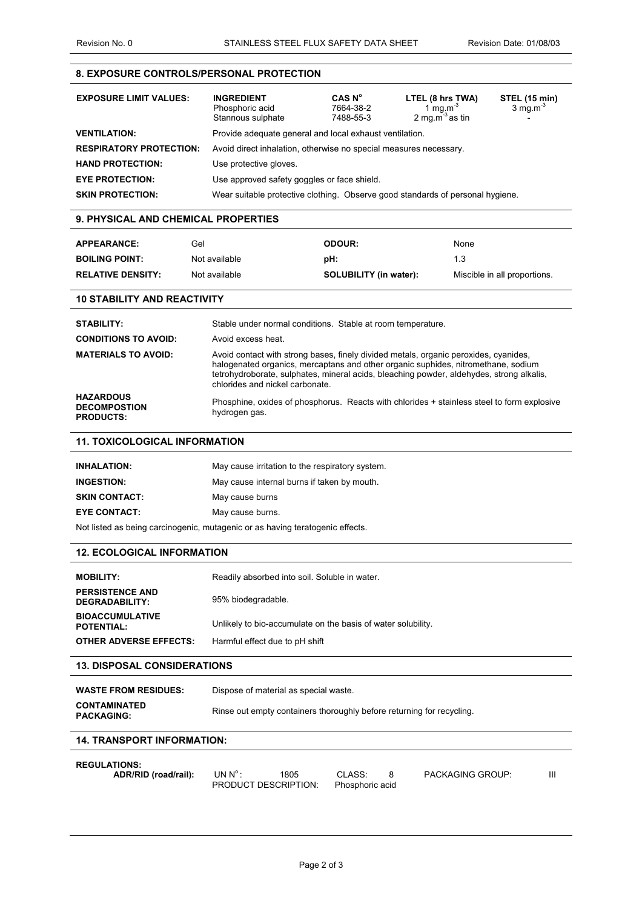### **8. EXPOSURE CONTROLS/PERSONAL PROTECTION**

| <b>EXPOSURE LIMIT VALUES:</b>  | <b>INGREDIENT</b><br>Phosphoric acid<br>Stannous sulphate                      | CAS N <sup>o</sup><br>7664-38-2<br>7488-55-3 | LTEL (8 hrs TWA)<br>1 mg.m <sup>-3</sup><br>2 mg.m <sup>-3</sup> as tin | <b>STEL (15 min)</b><br>$3 \text{ mg.m}^3$ |
|--------------------------------|--------------------------------------------------------------------------------|----------------------------------------------|-------------------------------------------------------------------------|--------------------------------------------|
| <b>VENTILATION:</b>            | Provide adequate general and local exhaust ventilation.                        |                                              |                                                                         |                                            |
| <b>RESPIRATORY PROTECTION:</b> | Avoid direct inhalation, otherwise no special measures necessary.              |                                              |                                                                         |                                            |
| <b>HAND PROTECTION:</b>        | Use protective gloves.                                                         |                                              |                                                                         |                                            |
| <b>EYE PROTECTION:</b>         | Use approved safety goggles or face shield.                                    |                                              |                                                                         |                                            |
| <b>SKIN PROTECTION:</b>        | Wear suitable protective clothing. Observe good standards of personal hygiene. |                                              |                                                                         |                                            |

### **9. PHYSICAL AND CHEMICAL PROPERTIES**

| <b>APPEARANCE:</b>       | Gel           | <b>ODOUR:</b>                 | None                         |
|--------------------------|---------------|-------------------------------|------------------------------|
| <b>BOILING POINT:</b>    | Not available | pH:                           | 1.3                          |
| <b>RELATIVE DENSITY:</b> | Not available | <b>SOLUBILITY (in water):</b> | Miscible in all proportions. |

# **10 STABILITY AND REACTIVITY**

| STABILITY:                                                  | Stable under normal conditions. Stable at room temperature.                                                                                                                                                                                                                                              |
|-------------------------------------------------------------|----------------------------------------------------------------------------------------------------------------------------------------------------------------------------------------------------------------------------------------------------------------------------------------------------------|
| <b>CONDITIONS TO AVOID:</b>                                 | Avoid excess heat.                                                                                                                                                                                                                                                                                       |
| <b>MATERIALS TO AVOID:</b>                                  | Avoid contact with strong bases, finely divided metals, organic peroxides, cyanides,<br>halogenated organics, mercaptans and other organic suphides, nitromethane, sodium<br>tetrohydroborate, sulphates, mineral acids, bleaching powder, aldehydes, strong alkalis,<br>chlorides and nickel carbonate. |
| <b>HAZARDOUS</b><br><b>DECOMPOSTION</b><br><b>PRODUCTS:</b> | Phosphine, oxides of phosphorus. Reacts with chlorides + stainless steel to form explosive<br>hydrogen gas.                                                                                                                                                                                              |

### **11. TOXICOLOGICAL INFORMATION**

| <b>INHALATION:</b>                                                            | May cause irritation to the respiratory system. |  |
|-------------------------------------------------------------------------------|-------------------------------------------------|--|
| <b>INGESTION:</b>                                                             | May cause internal burns if taken by mouth.     |  |
| <b>SKIN CONTACT:</b>                                                          | May cause burns                                 |  |
| <b>EYE CONTACT:</b>                                                           | May cause burns.                                |  |
| Not listed as being carcinogenic, mutagenic or as having teratogenic effects. |                                                 |  |

### **12. ECOLOGICAL INFORMATION**

| <b>MOBILITY:</b>                            | Readily absorbed into soil. Soluble in water.                |
|---------------------------------------------|--------------------------------------------------------------|
| <b>PERSISTENCE AND</b><br>DEGRADABILITY:    | 95% biodegradable.                                           |
| <b>BIOACCUMULATIVE</b><br><b>POTENTIAL:</b> | Unlikely to bio-accumulate on the basis of water solubility. |
| <b>OTHER ADVERSE EFFECTS:</b>               | Harmful effect due to pH shift                               |

#### **13. DISPOSAL CONSIDERATIONS**

| <b>WASTE FROM RESIDUES:</b>              | Dispose of material as special waste.                                 |
|------------------------------------------|-----------------------------------------------------------------------|
| <b>CONTAMINATED</b><br><b>PACKAGING:</b> | Rinse out empty containers thoroughly before returning for recycling. |

## **14. TRANSPORT INFORMATION:**

## **REGULATIONS:**

| ADR/RID (road/rail): | UN $N^{\circ}$ : | 1805                                 | CLASS: | <b>PACKAGING GROUP:</b> |  |
|----------------------|------------------|--------------------------------------|--------|-------------------------|--|
|                      |                  | PRODUCT DESCRIPTION: Phosphoric acid |        |                         |  |